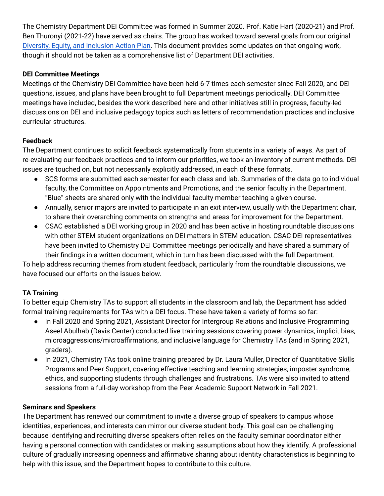The Chemistry Department DEI Committee was formed in Summer 2020. Prof. Katie Hart (2020-21) and Prof. Ben Thuronyi (2021-22) have served as chairs. The group has worked toward several goals from our original Diversity, Equity, and [Inclusion](https://chemistry.williams.edu/dei/) Action Plan. This document provides some updates on that ongoing work, though it should not be taken as a comprehensive list of Department DEI activities.

## **DEI Committee Meetings**

Meetings of the Chemistry DEI Committee have been held 6-7 times each semester since Fall 2020, and DEI questions, issues, and plans have been brought to full Department meetings periodically. DEI Committee meetings have included, besides the work described here and other initiatives still in progress, faculty-led discussions on DEI and inclusive pedagogy topics such as letters of recommendation practices and inclusive curricular structures.

# **Feedback**

The Department continues to solicit feedback systematically from students in a variety of ways. As part of re-evaluating our feedback practices and to inform our priorities, we took an inventory of current methods. DEI issues are touched on, but not necessarily explicitly addressed, in each of these formats.

- SCS forms are submitted each semester for each class and lab. Summaries of the data go to individual faculty, the Committee on Appointments and Promotions, and the senior faculty in the Department. "Blue" sheets are shared only with the individual faculty member teaching a given course.
- Annually, senior majors are invited to participate in an exit interview, usually with the Department chair, to share their overarching comments on strengths and areas for improvement for the Department.
- CSAC established a DEI working group in 2020 and has been active in hosting roundtable discussions with other STEM student organizations on DEI matters in STEM education. CSAC DEI representatives have been invited to Chemistry DEI Committee meetings periodically and have shared a summary of their findings in a written document, which in turn has been discussed with the full Department.

To help address recurring themes from student feedback, particularly from the roundtable discussions, we have focused our efforts on the issues below.

# **TA Training**

To better equip Chemistry TAs to support all students in the classroom and lab, the Department has added formal training requirements for TAs with a DEI focus. These have taken a variety of forms so far:

- In Fall 2020 and Spring 2021, Assistant Director for Intergroup Relations and Inclusive Programming Aseel Abulhab (Davis Center) conducted live training sessions covering power dynamics, implicit bias, microaggressions/microaffirmations, and inclusive language for Chemistry TAs (and in Spring 2021, graders).
- In 2021, Chemistry TAs took online training prepared by Dr. Laura Muller, Director of Quantitative Skills Programs and Peer Support, covering effective teaching and learning strategies, imposter syndrome, ethics, and supporting students through challenges and frustrations. TAs were also invited to attend sessions from a full-day workshop from the Peer Academic Support Network in Fall 2021.

### **Seminars and Speakers**

The Department has renewed our commitment to invite a diverse group of speakers to campus whose identities, experiences, and interests can mirror our diverse student body. This goal can be challenging because identifying and recruiting diverse speakers often relies on the faculty seminar coordinator either having a personal connection with candidates or making assumptions about how they identify. A professional culture of gradually increasing openness and affirmative sharing about identity characteristics is beginning to help with this issue, and the Department hopes to contribute to this culture.